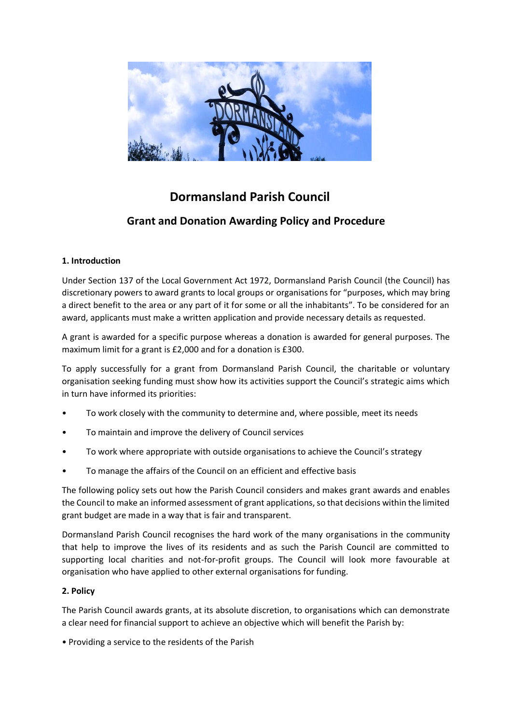

# **Dormansland Parish Council**

# **Grant and Donation Awarding Policy and Procedure**

## **1. Introduction**

Under Section 137 of the Local Government Act 1972, Dormansland Parish Council (the Council) has discretionary powers to award grants to local groups or organisations for "purposes, which may bring a direct benefit to the area or any part of it for some or all the inhabitants". To be considered for an award, applicants must make a written application and provide necessary details as requested.

A grant is awarded for a specific purpose whereas a donation is awarded for general purposes. The maximum limit for a grant is £2,000 and for a donation is £300.

To apply successfully for a grant from Dormansland Parish Council, the charitable or voluntary organisation seeking funding must show how its activities support the Council's strategic aims which in turn have informed its priorities:

- To work closely with the community to determine and, where possible, meet its needs
- To maintain and improve the delivery of Council services
- To work where appropriate with outside organisations to achieve the Council's strategy
- To manage the affairs of the Council on an efficient and effective basis

The following policy sets out how the Parish Council considers and makes grant awards and enables the Council to make an informed assessment of grant applications, so that decisions within the limited grant budget are made in a way that is fair and transparent.

Dormansland Parish Council recognises the hard work of the many organisations in the community that help to improve the lives of its residents and as such the Parish Council are committed to supporting local charities and not-for-profit groups. The Council will look more favourable at organisation who have applied to other external organisations for funding.

### **2. Policy**

The Parish Council awards grants, at its absolute discretion, to organisations which can demonstrate a clear need for financial support to achieve an objective which will benefit the Parish by:

• Providing a service to the residents of the Parish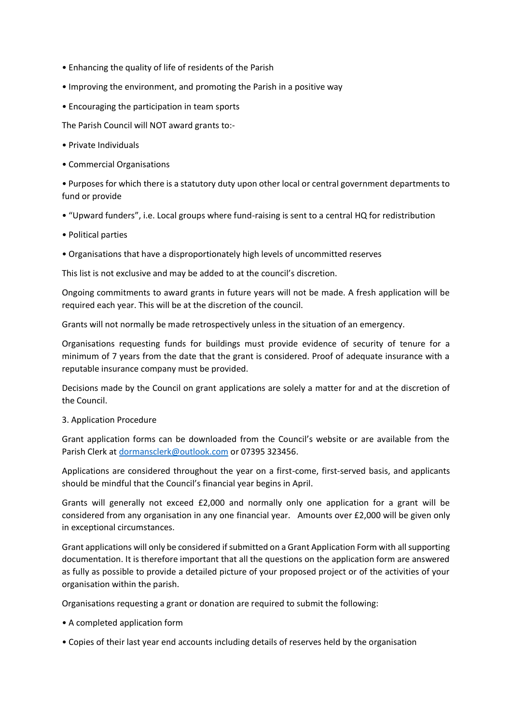- Enhancing the quality of life of residents of the Parish
- Improving the environment, and promoting the Parish in a positive way
- Encouraging the participation in team sports

The Parish Council will NOT award grants to:-

- Private Individuals
- Commercial Organisations

• Purposes for which there is a statutory duty upon other local or central government departments to fund or provide

- "Upward funders", i.e. Local groups where fund-raising is sent to a central HQ for redistribution
- Political parties
- Organisations that have a disproportionately high levels of uncommitted reserves

This list is not exclusive and may be added to at the council's discretion.

Ongoing commitments to award grants in future years will not be made. A fresh application will be required each year. This will be at the discretion of the council.

Grants will not normally be made retrospectively unless in the situation of an emergency.

Organisations requesting funds for buildings must provide evidence of security of tenure for a minimum of 7 years from the date that the grant is considered. Proof of adequate insurance with a reputable insurance company must be provided.

Decisions made by the Council on grant applications are solely a matter for and at the discretion of the Council.

#### 3. Application Procedure

Grant application forms can be downloaded from the Council's website or are available from the Parish Clerk at [dormansclerk@outlook.com](mailto:dormansclerk@outlook.com) or 07395 323456.

Applications are considered throughout the year on a first-come, first-served basis, and applicants should be mindful that the Council's financial year begins in April.

Grants will generally not exceed £2,000 and normally only one application for a grant will be considered from any organisation in any one financial year. Amounts over £2,000 will be given only in exceptional circumstances.

Grant applications will only be considered if submitted on a Grant Application Form with all supporting documentation. It is therefore important that all the questions on the application form are answered as fully as possible to provide a detailed picture of your proposed project or of the activities of your organisation within the parish.

Organisations requesting a grant or donation are required to submit the following:

- A completed application form
- Copies of their last year end accounts including details of reserves held by the organisation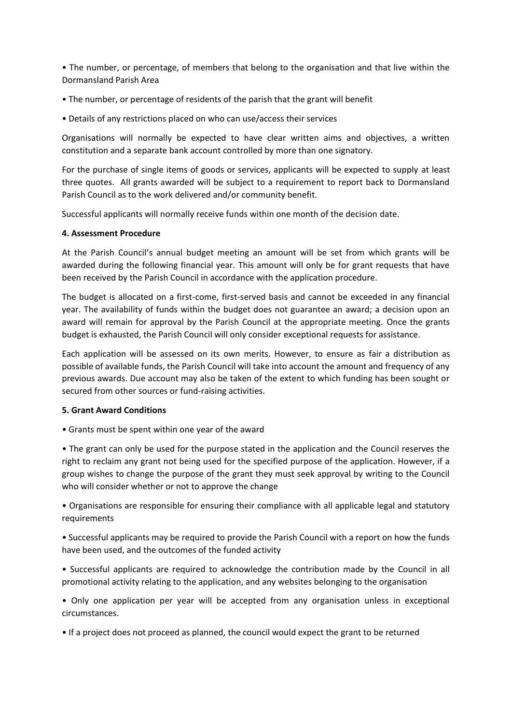• The number, or percentage, of members that belong to the organisation and that live within the Dormansland Parish Area

- The number, or percentage of residents of the parish that the grant will benefit
- Details of any restrictions placed on who can use/access their services

Organisations will normally be expected to have clear written aims and objectives, a written constitution and a separate bank account controlled by more than one signatory.

For the purchase of single items of goods or services, applicants will be expected to supply at least three quotes. All grants awarded will be subject to a requirement to report back to Dormansland Parish Council as to the work delivered and/or community benefit.

Successful applicants will normally receive funds within one month of the decision date.

#### **4. Assessment Procedure**

At the Parish Council's annual budget meeting an amount will be set from which grants will be awarded during the following financial year. This amount will only be for grant requests that have been received by the Parish Council in accordance with the application procedure.

The budget is allocated on a first-come, first-served basis and cannot be exceeded in any financial year. The availability of funds within the budget does not guarantee an award; a decision upon an award will remain for approval by the Parish Council at the appropriate meeting. Once the grants budget is exhausted, the Parish Council will only consider exceptional requests for assistance.

Each application will be assessed on its own merits. However, to ensure as fair a distribution as possible of available funds, the Parish Council will take into account the amount and frequency of any previous awards. Due account may also be taken of the extent to which funding has been sought or secured from other sources or fund-raising activities.

#### **5. Grant Award Conditions**

• Grants must be spent within one year of the award

• The grant can only be used for the purpose stated in the application and the Council reserves the right to reclaim any grant not being used for the specified purpose of the application. However, if a group wishes to change the purpose of the grant they must seek approval by writing to the Council who will consider whether or not to approve the change

• Organisations are responsible for ensuring their compliance with all applicable legal and statutory requirements

• Successful applicants may be required to provide the Parish Council with a report on how the funds have been used, and the outcomes of the funded activity

• Successful applicants are required to acknowledge the contribution made by the Council in all promotional activity relating to the application, and any websites belonging to the organisation

• Only one application per year will be accepted from any organisation unless in exceptional circumstances.

• If a project does not proceed as planned, the council would expect the grant to be returned